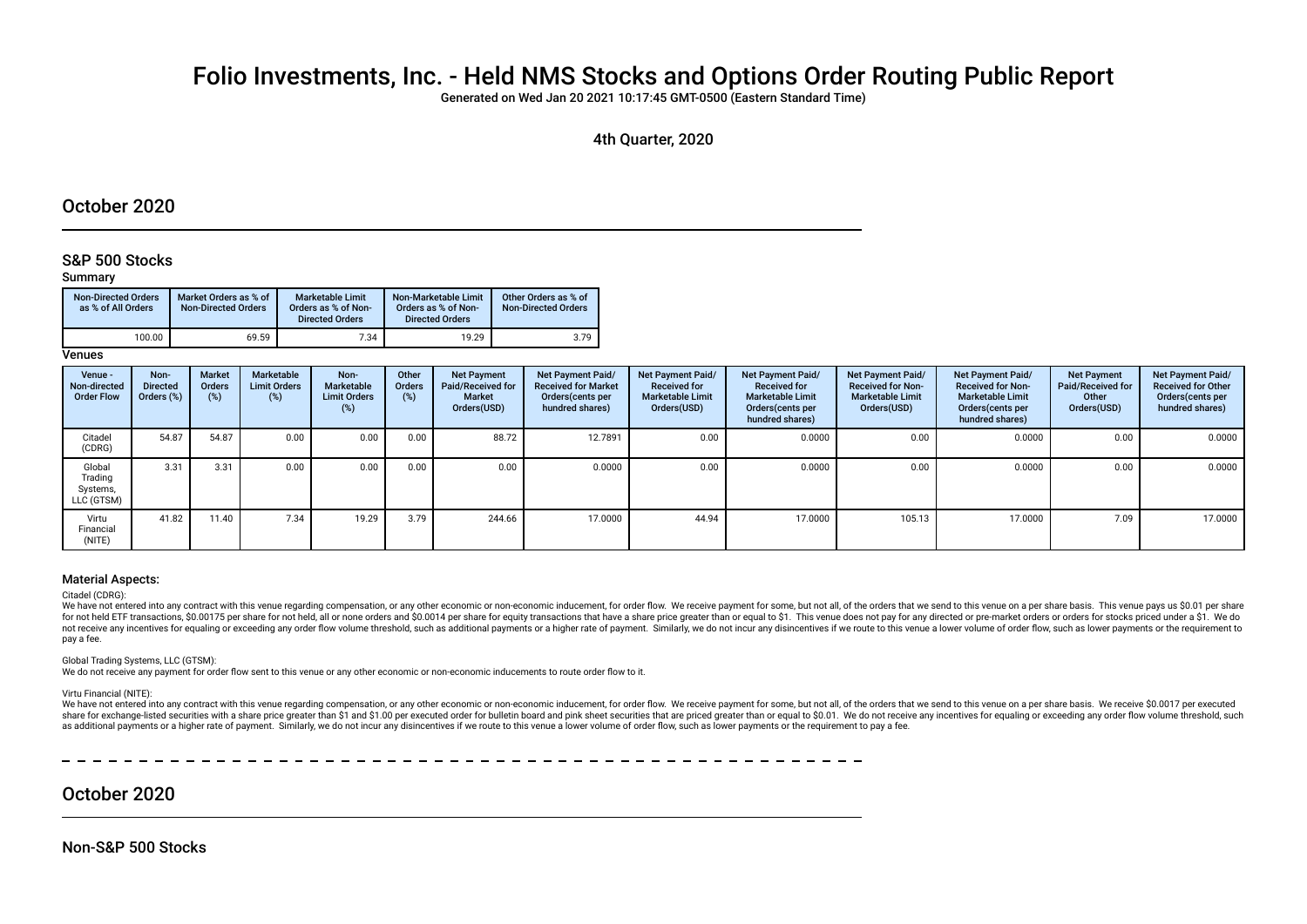# Folio Investments, Inc. - Held NMS Stocks and Options Order Routing Public Report

Generated on Wed Jan 20 2021 10:17:45 GMT-0500 (Eastern Standard Time)

## 4th Quarter, 2020

# October 2020

## S&P 500 Stocks

### Summary

| <b>Non-Directed Orders</b><br>as % of All Orders | Market Orders as % of<br><b>Non-Directed Orders</b> | Marketable Limit<br>Orders as % of Non-<br><b>Directed Orders</b> | Non-Marketable Limit<br>Orders as % of Non-<br><b>Directed Orders</b> | Other Orders as % of<br><b>Non-Directed Orders</b> |
|--------------------------------------------------|-----------------------------------------------------|-------------------------------------------------------------------|-----------------------------------------------------------------------|----------------------------------------------------|
| 100.00                                           | 69.59                                               | 7.34                                                              | 19.29                                                                 | 3.79                                               |

**Venues** 

| Venue -<br>Non-directed<br><b>Order Flow</b> | Non-<br><b>Directed</b><br>Orders (%) | <b>Market</b><br>Orders<br>(%) | Marketable<br><b>Limit Orders</b><br>(%) | Non-<br>Marketable<br><b>Limit Orders</b><br>$(\%)$ | Other<br><b>Orders</b><br>(%) | <b>Net Payment</b><br>Paid/Received for<br>Market<br>Orders(USD) | Net Payment Paid/<br><b>Received for Market</b><br>Orders (cents per<br>hundred shares) | Net Payment Paid/<br><b>Received for</b><br><b>Marketable Limit</b><br>Orders(USD) | <b>Net Payment Paid/</b><br><b>Received for</b><br><b>Marketable Limit</b><br>Orders (cents per<br>hundred shares) | Net Payment Paid/<br><b>Received for Non-</b><br><b>Marketable Limit</b><br>Orders(USD) | Net Payment Paid/<br><b>Received for Non-</b><br><b>Marketable Limit</b><br>Orders (cents per<br>hundred shares) | <b>Net Payment</b><br>Paid/Received for<br>Other<br>Orders(USD) | Net Payment Paid/<br><b>Received for Other</b><br>Orders(cents per<br>hundred shares) |
|----------------------------------------------|---------------------------------------|--------------------------------|------------------------------------------|-----------------------------------------------------|-------------------------------|------------------------------------------------------------------|-----------------------------------------------------------------------------------------|------------------------------------------------------------------------------------|--------------------------------------------------------------------------------------------------------------------|-----------------------------------------------------------------------------------------|------------------------------------------------------------------------------------------------------------------|-----------------------------------------------------------------|---------------------------------------------------------------------------------------|
| Citadel<br>(CDRG)                            | 54.87                                 | 54.87                          | 0.00                                     | 0.00                                                | 0.00                          | 88.72                                                            | 12.7891                                                                                 | 0.00                                                                               | 0.0000                                                                                                             | 0.00                                                                                    | 0.0000                                                                                                           | 0.00                                                            | 0.0000                                                                                |
| Global<br>Trading<br>Systems,<br>LLC (GTSM)  | 3.31                                  | 3.31                           | 0.00                                     | 0.00                                                | 0.00                          | 0.00                                                             | 0.0000                                                                                  | 0.00                                                                               | 0.0000                                                                                                             | 0.00                                                                                    | 0.0000                                                                                                           | 0.00                                                            | 0.0000                                                                                |
| Virtu<br>Financial<br>(NITE)                 | 41.82                                 | 11.40                          | 7.34                                     | 19.29                                               | 3.79                          | 244.66                                                           | 17.0000                                                                                 | 44.94                                                                              | 17.0000                                                                                                            | 105.13                                                                                  | 17.0000                                                                                                          | 7.09                                                            | 17.0000                                                                               |

### Material Aspects:

#### Citadel (CDRG):

We have not entered into any contract with this venue regarding compensation, or any other economic or non-economic inducement, for order flow. We receive payment for some, but not all, of the orders that we send to this v for not held ETF transactions. \$0,00175 per share for not held, all or none orders and \$0,0014 per share for equity transactions that have a share price greater than or equal to \$1. This venue does not pay for any directed not receive any incentives for equaling or exceeding any order flow volume threshold, such as additional payments or a higher rate of payment. Similarly, we do not incur any disincentives if we route to this venue a lower pay a fee.

Global Trading Systems, LLC (GTSM):

We do not receive any payment for order flow sent to this venue or any other economic or non-economic inducements to route order flow to it.

Virtu Financial (NITE):

We have not entered into any contract with this venue regarding compensation, or any other economic or non-economic inducement, for order flow. We receive payment for some, but not all, of the orders that we send to this v share for exchange-listed securities with a share price greater than \$1 and \$1.00 per executed order for bulletin board and pink sheet securities that are priced greater than or equal to \$0.01. We do not receive any incent as additional payments or a higher rate of payment. Similarly, we do not incur any disincentives if we route to this venue a lower volume of order flow, such as lower payments or the requirement to pay a fee.

# October 2020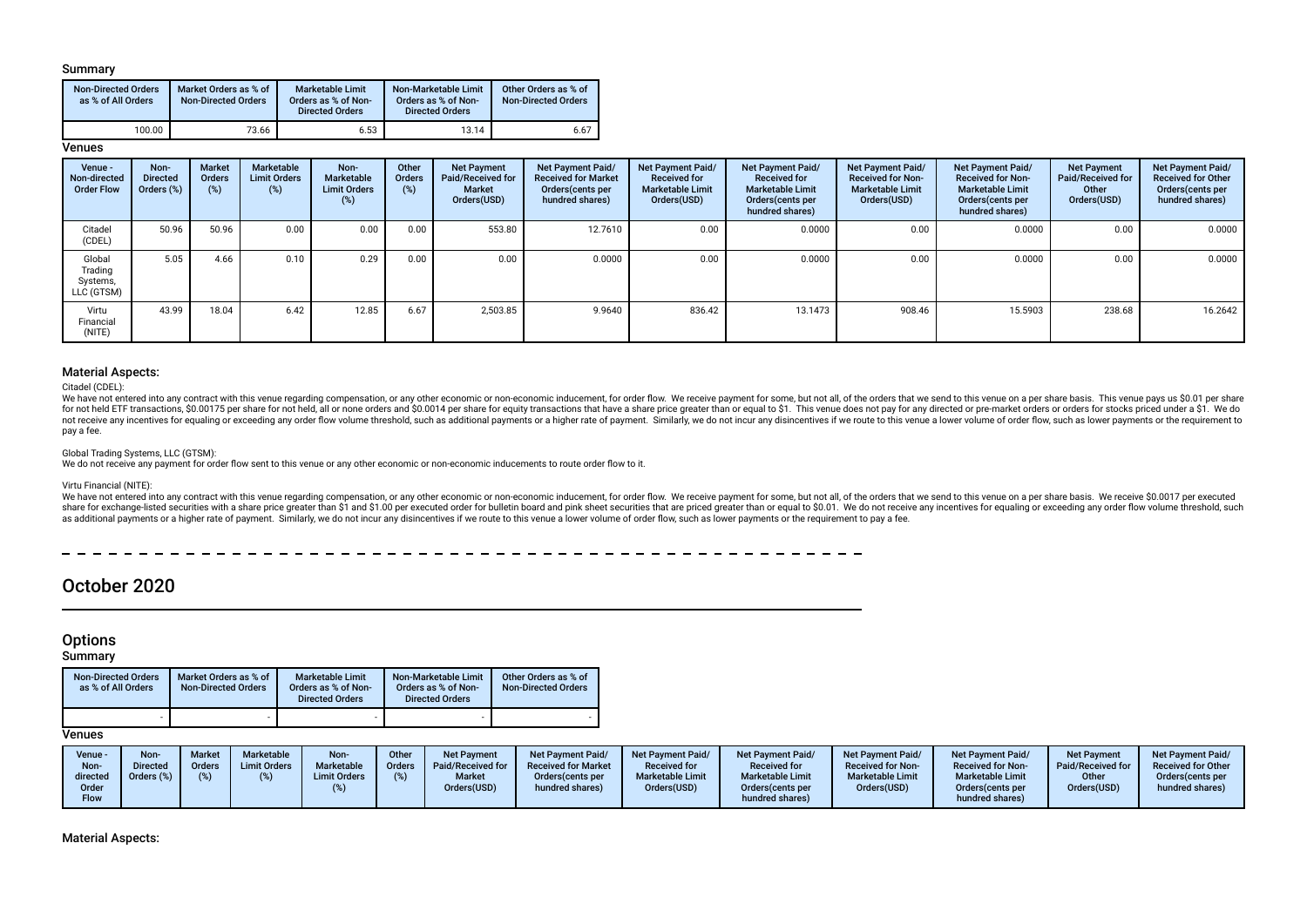### Summary

| <b>Non-Directed Orders</b><br>as % of All Orders | Market Orders as % of<br><b>Non-Directed Orders</b> | Marketable Limit<br>Orders as % of Non-<br><b>Directed Orders</b> | Non-Marketable Limit<br>Orders as % of Non-<br><b>Directed Orders</b> | Other Orders as % of<br><b>Non-Directed Orders</b> |  |
|--------------------------------------------------|-----------------------------------------------------|-------------------------------------------------------------------|-----------------------------------------------------------------------|----------------------------------------------------|--|
| 100.00                                           | 73.66                                               | 6.53                                                              | 13.14                                                                 | 6.67                                               |  |

## **Venues**

| Venue -<br>Non-directed<br><b>Order Flow</b> | Non-<br><b>Directed</b><br>Orders (%) | <b>Market</b><br>Orders<br>(%) | Marketable<br><b>Limit Orders</b><br>(%) | Non-<br>Marketable<br><b>Limit Orders</b><br>(%) | Other<br><b>Orders</b><br>(%) | <b>Net Payment</b><br>Paid/Received for<br><b>Market</b><br>Orders(USD) | Net Payment Paid/<br><b>Received for Market</b><br>Orders (cents per<br>hundred shares) | <b>Net Payment Paid/</b><br><b>Received for</b><br><b>Marketable Limit</b><br>Orders(USD) | Net Payment Paid/<br><b>Received for</b><br><b>Marketable Limit</b><br>Orders (cents per<br>hundred shares) | Net Payment Paid/<br><b>Received for Non-</b><br><b>Marketable Limit</b><br>Orders(USD) | Net Payment Paid/<br><b>Received for Non-</b><br><b>Marketable Limit</b><br>Orders (cents per<br>hundred shares) | <b>Net Payment</b><br>Paid/Received for<br>Other<br>Orders(USD) | Net Payment Paid/<br><b>Received for Other</b><br>Orders (cents per<br>hundred shares) |
|----------------------------------------------|---------------------------------------|--------------------------------|------------------------------------------|--------------------------------------------------|-------------------------------|-------------------------------------------------------------------------|-----------------------------------------------------------------------------------------|-------------------------------------------------------------------------------------------|-------------------------------------------------------------------------------------------------------------|-----------------------------------------------------------------------------------------|------------------------------------------------------------------------------------------------------------------|-----------------------------------------------------------------|----------------------------------------------------------------------------------------|
| Citadel<br>(CDEL)                            | 50.96                                 | 50.96                          | 0.00                                     | 0.00                                             | 0.00                          | 553.80                                                                  | 12.7610                                                                                 | 0.00                                                                                      | 0.0000                                                                                                      | 0.00                                                                                    | 0.0000                                                                                                           | 0.00                                                            | 0.0000                                                                                 |
| Global<br>Trading<br>Systems,<br>LLC (GTSM)  | 5.05                                  | 4.66                           | 0.10                                     | 0.29                                             | 0.00                          | 0.00                                                                    | 0.0000                                                                                  | 0.00                                                                                      | 0.0000                                                                                                      | 0.00                                                                                    | 0.0000                                                                                                           | 0.00                                                            | 0.0000                                                                                 |
| Virtu<br>Financial<br>(NITE)                 | 43.99                                 | 18.04                          | 6.42                                     | 12.85                                            | 6.67                          | 2.503.85                                                                | 9.9640                                                                                  | 836.42                                                                                    | 13.1473                                                                                                     | 908.46                                                                                  | 15.5903                                                                                                          | 238.68                                                          | 16.2642                                                                                |

### Material Aspects:

Citadel (CDEL):

We have not entered into any contract with this venue regarding compensation, or any other economic or non-economic inducement, for order flow. We receive payment for some, but not all, of the orders that we send to this v for not held ETF transactions, \$0,00175 per share for not held, all or none orders and \$0,0014 per share for equity transactions that have a share price greater than or equal to \$1. This yenue does not pay for any directed not receive any incentives for equaling or exceeding any order flow volume threshold, such as additional payments or a higher rate of payment. Similarly, we do not incur any disincentives if we route to this venue a lower pay a fee.

#### Global Trading Systems, LLC (GTSM):

We do not receive any payment for order flow sent to this venue or any other economic or non-economic inducements to route order flow to it.

#### Virtu Financial (NITE):

We have not entered into any contract with this venue regarding compensation, or any other economic or non-economic inducement, for order flow. We receive payment for some, but not all, of the orders that we send to this v share for exchange-listed securities with a share price greater than \$1 and \$1.00 per executed order for bulletin board and pink sheet securities that are priced greater than or equal to \$0.01. We do not receive any incent as additional payments or a higher rate of payment. Similarly, we do not incur any disincentives if we route to this venue a lower volume of order flow, such as lower payments or the requirement to pay a fee.

 $- - - - - -$ 

# October 2020

## **Options**

**Summary** 

| <b>Non-Directed Orders</b><br>as % of All Orders | Market Orders as % of<br><b>Non-Directed Orders</b> | <b>Marketable Limit</b><br>Orders as % of Non-<br><b>Directed Orders</b> | Non-Marketable Limit<br>Orders as % of Non-<br><b>Directed Orders</b> | Other Orders as % of<br><b>Non-Directed Orders</b> |
|--------------------------------------------------|-----------------------------------------------------|--------------------------------------------------------------------------|-----------------------------------------------------------------------|----------------------------------------------------|
|                                                  |                                                     |                                                                          |                                                                       |                                                    |

## **Venues**

Material Aspects: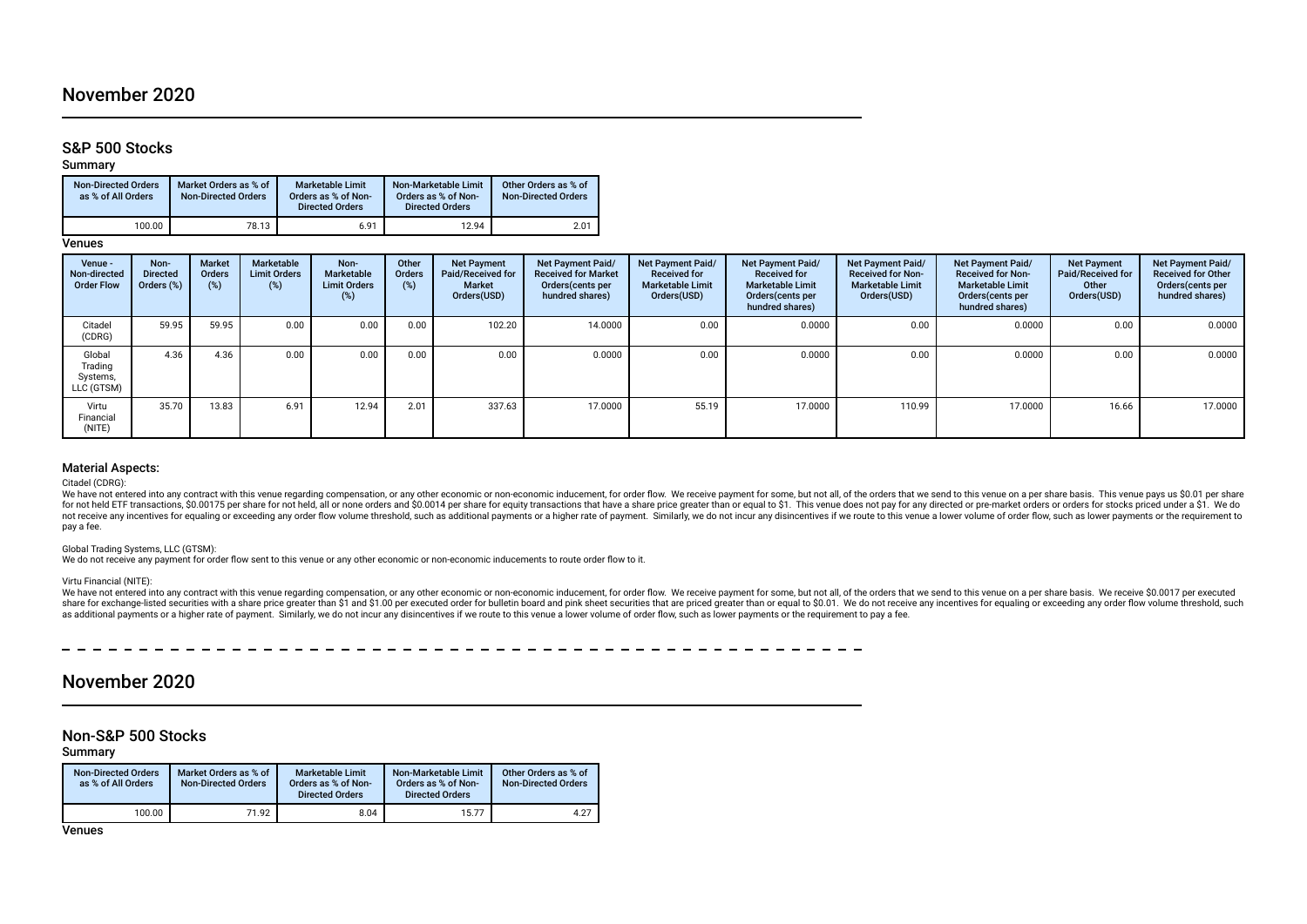# November 2020

## S&P 500 Stocks

Summary

| <b>Non-Directed Orders</b><br>as % of All Orders | Market Orders as % of<br><b>Non-Directed Orders</b> | <b>Marketable Limit</b><br>Orders as % of Non-<br><b>Directed Orders</b> | Non-Marketable Limit<br>Orders as % of Non-<br><b>Directed Orders</b> | Other Orders as % of<br><b>Non-Directed Orders</b> |
|--------------------------------------------------|-----------------------------------------------------|--------------------------------------------------------------------------|-----------------------------------------------------------------------|----------------------------------------------------|
| 100.00                                           | 78.13                                               | 6.91                                                                     | 12.94                                                                 | 2.01                                               |

Venues

| Venue -<br>Non-directed<br><b>Order Flow</b> | Non-<br><b>Directed</b><br>Orders (%) | Market<br><b>Orders</b><br>(%) | Marketable<br><b>Limit Orders</b><br>(%) | Non-<br>Marketable<br><b>Limit Orders</b><br>(%) | Other<br>Orders<br>$(\%)$ | <b>Net Payment</b><br>Paid/Received for<br>Market<br>Orders(USD) | <b>Net Payment Paid/</b><br><b>Received for Market</b><br>Orders(cents per<br>hundred shares) | Net Payment Paid/<br><b>Received for</b><br><b>Marketable Limit</b><br>Orders(USD) | Net Payment Paid/<br><b>Received for</b><br><b>Marketable Limit</b><br>Orders (cents per<br>hundred shares) | Net Payment Paid/<br><b>Received for Non-</b><br><b>Marketable Limit</b><br>Orders(USD) | Net Payment Paid/<br><b>Received for Non-</b><br><b>Marketable Limit</b><br>Orders(cents per<br>hundred shares) | <b>Net Payment</b><br>Paid/Received for<br>Other<br>Orders(USD) | Net Payment Paid/<br><b>Received for Other</b><br>Orders(cents per<br>hundred shares) |
|----------------------------------------------|---------------------------------------|--------------------------------|------------------------------------------|--------------------------------------------------|---------------------------|------------------------------------------------------------------|-----------------------------------------------------------------------------------------------|------------------------------------------------------------------------------------|-------------------------------------------------------------------------------------------------------------|-----------------------------------------------------------------------------------------|-----------------------------------------------------------------------------------------------------------------|-----------------------------------------------------------------|---------------------------------------------------------------------------------------|
| Citadel<br>(CDRG)                            | 59.95                                 | 59.95                          | 0.00                                     | 0.00                                             | 0.00                      | 102.20                                                           | 14.0000                                                                                       | 0.00                                                                               | 0.0000                                                                                                      | 0.00                                                                                    | 0.0000                                                                                                          | 0.00                                                            | 0.0000                                                                                |
| Global<br>Trading<br>Systems,<br>LLC (GTSM)  | 4.36                                  | 4.36                           | 0.00                                     | 0.00                                             | 0.00                      | 0.00                                                             | 0.0000                                                                                        | 0.00                                                                               | 0.0000                                                                                                      | 0.00                                                                                    | 0.0000                                                                                                          | 0.00                                                            | 0.0000                                                                                |
| Virtu<br>Financial<br>(NITE)                 | 35.70                                 | 13.83                          | 6.91                                     | 12.94                                            | 2.01                      | 337.63                                                           | 17.0000                                                                                       | 55.19                                                                              | 17.0000                                                                                                     | 110.99                                                                                  | 17.0000                                                                                                         | 16.66                                                           | 17.0000                                                                               |

## Material Aspects:

Citadel (CDRG):

We have not entered into any contract with this venue regarding compensation, or any other economic or non-economic inducement, for order flow. We receive payment for some, but not all, of the orders that we send to this v for not held ETF transactions, \$0.00175 per share for not held, all or none orders and \$0.0014 per share for equity transactions that have a share price greater than or equal to \$1. This venue does not pay for any directed not receive any incentives for equaling or exceeding any order flow volume threshold, such as additional payments or a higher rate of payment. Similarly, we do not incur any disincentives if we route to this venue a lower pay a fee.

#### Global Trading Systems, LLC (GTSM):

We do not receive any payment for order flow sent to this venue or any other economic or non-economic inducements to route order flow to it.

#### Virtu Financial (NITE):

We have not entered into any contract with this venue regarding compensation, or any other economic or non-economic inducement, for order flow. We receive payment for some, but not all, of the orders that we send to this v share for exchange-listed securities with a share price greater than \$1 and \$1.00 per executed order for bulletin board and pink sheet securities that are priced greater than or equal to \$0.01. We do not receive any incent as additional payments or a higher rate of payment. Similarly, we do not incur any disincentives if we route to this venue a lower volume of order flow, such as lower payments or the requirement to pay a fee.

#### 

# November 2020

## Non-S&P 500 Stocks

Summary

| <b>Non-Directed Orders</b><br>as % of All Orders | Market Orders as % of<br><b>Non-Directed Orders</b> | <b>Marketable Limit</b><br>Orders as % of Non-<br><b>Directed Orders</b> | Non-Marketable Limit<br>Orders as % of Non-<br><b>Directed Orders</b> | Other Orders as % of<br>Non-Directed Orders |
|--------------------------------------------------|-----------------------------------------------------|--------------------------------------------------------------------------|-----------------------------------------------------------------------|---------------------------------------------|
| 100.00                                           | 71.92                                               | 8.04                                                                     | 15.77                                                                 | 4.27                                        |

Venues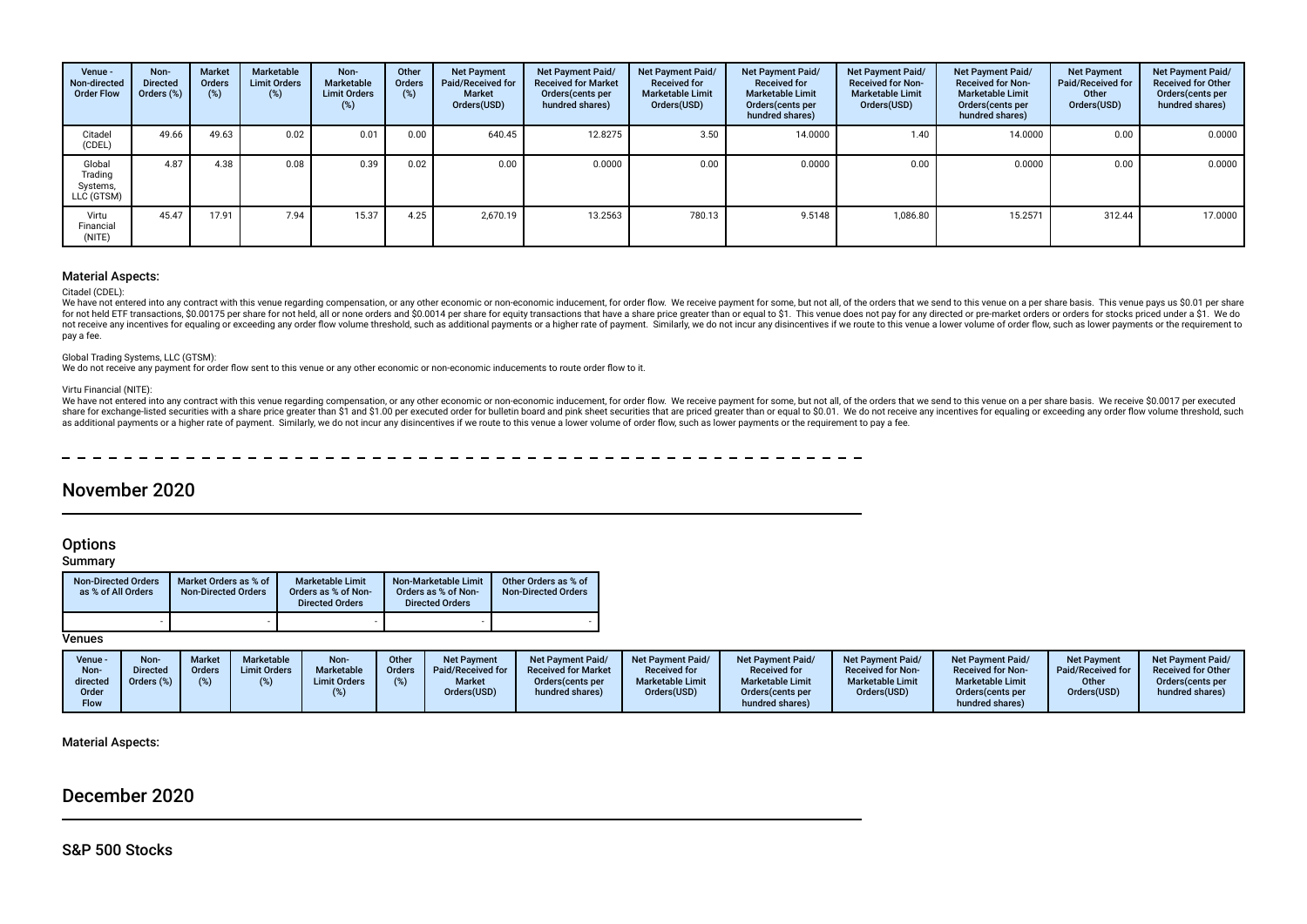| Venue -<br>Non-directed<br><b>Order Flow</b> | Non-<br><b>Directed</b><br>Orders (%) | <b>Market</b><br>Orders<br>(%) | Marketable<br><b>Limit Orders</b><br>(%) | Non-<br>Marketable<br><b>Limit Orders</b><br>(%) | Other<br><b>Orders</b><br>(%) | <b>Net Payment</b><br>Paid/Received for<br><b>Market</b><br>Orders(USD) | <b>Net Payment Paid/</b><br><b>Received for Market</b><br>Orders(cents per<br>hundred shares) | <b>Net Payment Paid/</b><br><b>Received for</b><br><b>Marketable Limit</b><br>Orders(USD) | Net Payment Paid/<br><b>Received for</b><br><b>Marketable Limit</b><br>Orders(cents per<br>hundred shares) | Net Payment Paid/<br><b>Received for Non-</b><br><b>Marketable Limit</b><br>Orders(USD) | Net Payment Paid/<br><b>Received for Non-</b><br><b>Marketable Limit</b><br>Orders (cents per<br>hundred shares) | <b>Net Payment</b><br>Paid/Received for<br>Other<br>Orders(USD) | Net Payment Paid/<br><b>Received for Other</b><br>Orders (cents per<br>hundred shares) |
|----------------------------------------------|---------------------------------------|--------------------------------|------------------------------------------|--------------------------------------------------|-------------------------------|-------------------------------------------------------------------------|-----------------------------------------------------------------------------------------------|-------------------------------------------------------------------------------------------|------------------------------------------------------------------------------------------------------------|-----------------------------------------------------------------------------------------|------------------------------------------------------------------------------------------------------------------|-----------------------------------------------------------------|----------------------------------------------------------------------------------------|
| Citadel<br>(CDEL)                            | 49.66                                 | 49.63                          | 0.02                                     | 0.01                                             | 0.00                          | 640.45                                                                  | 12.8275                                                                                       | 3.50                                                                                      | 14.0000                                                                                                    | 1.40                                                                                    | 14.0000                                                                                                          | 0.00                                                            | 0.0000                                                                                 |
| Global<br>Trading<br>Systems,<br>LLC (GTSM)  | 4.87                                  | 4.38                           | 0.08                                     | 0.39                                             | 0.02                          | 0.00                                                                    | 0.0000                                                                                        | 0.00                                                                                      | 0.0000                                                                                                     | 0.00                                                                                    | 0.0000                                                                                                           | 0.00                                                            | 0.0000                                                                                 |
| Virtu<br>Financial<br>(NITE)                 | 45.47                                 | 17.91                          | 7.94                                     | 15.37                                            | 4.25                          | 2.670.19                                                                | 13.2563                                                                                       | 780.13                                                                                    | 9.5148                                                                                                     | 1,086.80                                                                                | 15.2571                                                                                                          | 312.44                                                          | 17,0000                                                                                |

#### Material Aspects:

#### Citadel (CDEL):

We have not entered into any contract with this venue regarding compensation, or any other economic or non-economic inducement, for order flow. We receive payment for some, but not all, of the orders that we send to this v for not held ETF transactions, \$0.00175 per share for not held, all or none orders and \$0.0014 per share for equity transactions that have a share price greater than or equal to \$1. This venue does not pay for any directed not receive any incentives for equaling or exceeding any order flow volume threshold, such as additional payments or a higher rate of payment. Similarly, we do not incur any disincentives if we route to this venue a lower pay a fee.

#### Global Trading Systems, LLC (GTSM):

We do not receive any payment for order flow sent to this venue or any other economic or non-economic inducements to route order flow to it.

#### Virtu Financial (NITE):

We have not entered into any contract with this venue regarding compensation, or any other economic or non-economic inducement, for order flow. We receive payment for some, but not all, of the orders that we send to this v share for exchange-listed securities with a share price greater than \$1 and \$1.00 per executed order for bulletin board and pink sheet securities that are priced greater than or equal to \$0.01. We do not receive any incent as additional payments or a higher rate of payment. Similarly, we do not incur any disincentives if we route to this venue a lower volume of order flow, such as lower payments or the requirement to pay a fee.

# November 2020

## **Options**

**Summary** 

| <b>Non-Directed Orders</b><br>as % of All Orders | Market Orders as % of<br><b>Non-Directed Orders</b> | <b>Marketable Limit</b><br>Orders as % of Non-<br><b>Directed Orders</b> | Non-Marketable Limit<br>Orders as % of Non-<br><b>Directed Orders</b> | Other Orders as % of<br><b>Non-Directed Orders</b> |
|--------------------------------------------------|-----------------------------------------------------|--------------------------------------------------------------------------|-----------------------------------------------------------------------|----------------------------------------------------|
| ۰                                                |                                                     |                                                                          |                                                                       |                                                    |

Venues

| Venue -<br>Non-<br>directed | <b>Non</b><br><b>Directed</b><br>Orders (%) | <b>Market</b><br>Orders<br>(%) | Marketable<br><b>Limit Orders</b> | Non-<br><b>Marketable</b><br><b>Limit Orders</b> | Other<br><b>Orders</b> | <b>Net Payment</b><br>Paid/Received for<br><b>Market</b> | <b>Net Payment Paid/</b><br><b>Received for Market</b><br>Orders (cents per | <b>Net Payment Paid/</b><br><b>Received for</b><br><b>Marketable Limit</b> | Net Payment Paid/<br><b>Received for</b><br><b>Marketable Limit</b> | <b>Net Payment Paid/</b><br><b>Received for Non-</b><br><b>Marketable Limit</b> | Net Payment Paid/<br><b>Received for Non-</b><br><b>Marketable Limit</b> | <b>Net Payment</b><br>Paid/Received for<br>Other | <b>Net Payment Paid/</b><br><b>Received for Other</b><br>Orders(cents per |
|-----------------------------|---------------------------------------------|--------------------------------|-----------------------------------|--------------------------------------------------|------------------------|----------------------------------------------------------|-----------------------------------------------------------------------------|----------------------------------------------------------------------------|---------------------------------------------------------------------|---------------------------------------------------------------------------------|--------------------------------------------------------------------------|--------------------------------------------------|---------------------------------------------------------------------------|
| Order<br>Flow               |                                             |                                |                                   |                                                  |                        | Orders(USD)                                              | hundred shares)                                                             | Orders(USD)                                                                | Orders (cents per<br>hundred shares)                                | Orders(USD)                                                                     | Orders(cents per<br>hundred shares)                                      | Orders(USD)                                      | hundred shares)                                                           |

### Material Aspects:

# December 2020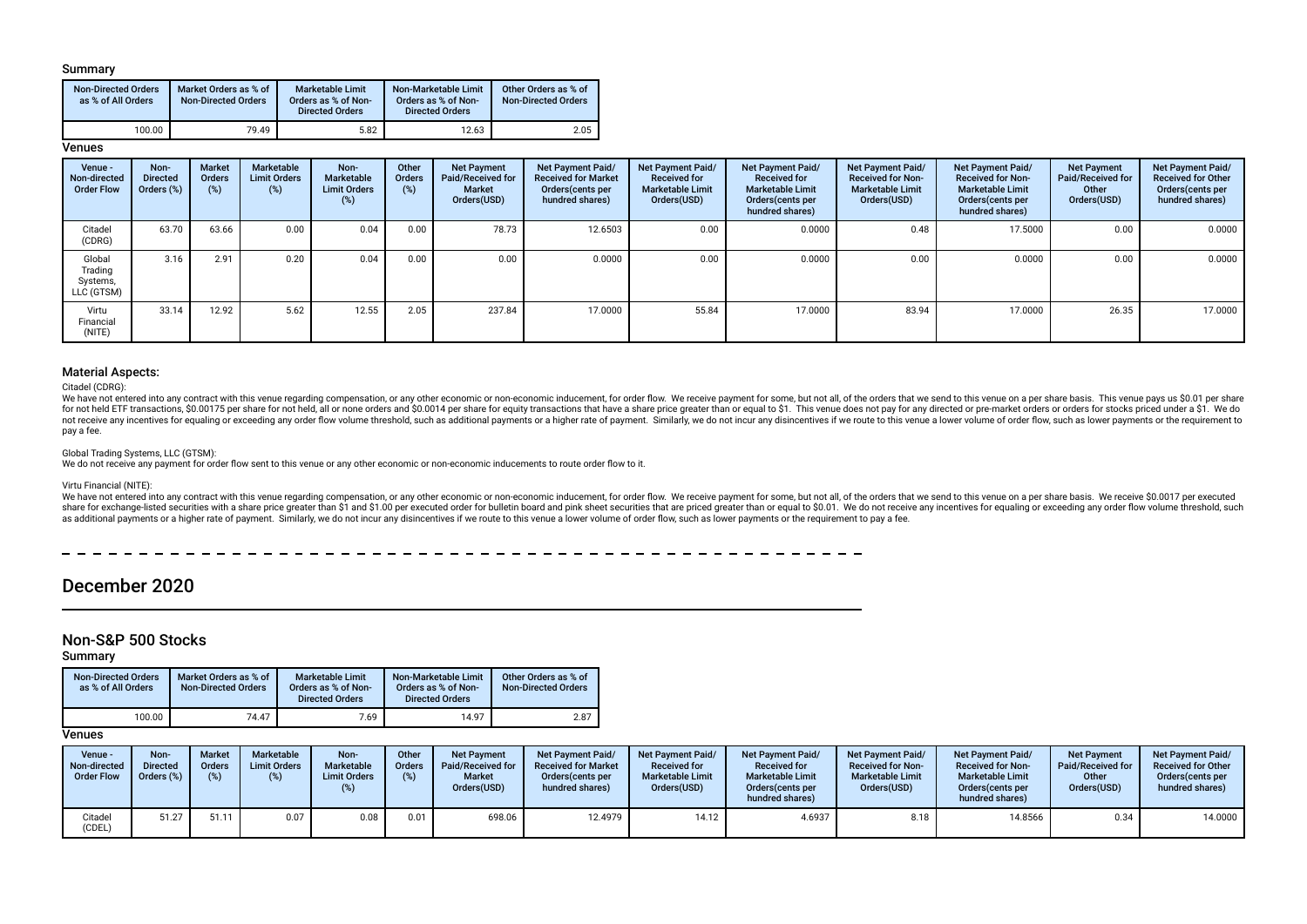### Summary

| <b>Non-Directed Orders</b><br>as % of All Orders | Market Orders as % of<br><b>Non-Directed Orders</b> | Marketable Limit<br>Orders as % of Non-<br><b>Directed Orders</b> | Non-Marketable Limit<br>Orders as % of Non-<br><b>Directed Orders</b> | Other Orders as % of<br><b>Non-Directed Orders</b> |
|--------------------------------------------------|-----------------------------------------------------|-------------------------------------------------------------------|-----------------------------------------------------------------------|----------------------------------------------------|
| 100.00                                           | 79.49                                               | 5.82                                                              | 12.63                                                                 | 2.05                                               |

## **Venues**

| Venue -<br>Non-directed<br><b>Order Flow</b> | Non-<br><b>Directed</b><br>Orders (%) | <b>Market</b><br>Orders<br>(%) | Marketable<br><b>Limit Orders</b><br>$(\%)$ | Non-<br>Marketable<br><b>Limit Orders</b><br>$(\%)$ | Other<br>Orders<br>(%) | <b>Net Payment</b><br>Paid/Received for<br><b>Market</b><br>Orders(USD) | Net Payment Paid/<br><b>Received for Market</b><br>Orders(cents per<br>hundred shares) | Net Payment Paid/<br><b>Received for</b><br><b>Marketable Limit</b><br>Orders(USD) | <b>Net Payment Paid/</b><br><b>Received for</b><br><b>Marketable Limit</b><br>Orders (cents per<br>hundred shares) | Net Payment Paid/<br><b>Received for Non-</b><br><b>Marketable Limit</b><br>Orders(USD) | Net Payment Paid/<br><b>Received for Non-</b><br><b>Marketable Limit</b><br>Orders (cents per<br>hundred shares) | <b>Net Payment</b><br>Paid/Received for<br>Other<br>Orders(USD) | Net Payment Paid/<br><b>Received for Other</b><br>Orders(cents per<br>hundred shares) |
|----------------------------------------------|---------------------------------------|--------------------------------|---------------------------------------------|-----------------------------------------------------|------------------------|-------------------------------------------------------------------------|----------------------------------------------------------------------------------------|------------------------------------------------------------------------------------|--------------------------------------------------------------------------------------------------------------------|-----------------------------------------------------------------------------------------|------------------------------------------------------------------------------------------------------------------|-----------------------------------------------------------------|---------------------------------------------------------------------------------------|
| Citadel<br>(CDRG)                            | 63.70                                 | 63.66                          | 0.00                                        | 0.04                                                | 0.00                   | 78.73                                                                   | 12.6503                                                                                | 0.00                                                                               | 0.0000                                                                                                             | 0.48                                                                                    | 17.5000                                                                                                          | 0.00                                                            | 0.0000                                                                                |
| Global<br>Trading<br>Systems,<br>LLC (GTSM)  | 3.16                                  | 2.91                           | 0.20                                        | 0.04                                                | 0.00                   | 0.00                                                                    | 0.0000                                                                                 | 0.00                                                                               | 0.0000                                                                                                             | 0.00                                                                                    | 0.0000                                                                                                           | 0.00                                                            | 0.0000                                                                                |
| Virtu<br>Financial<br>(NITE)                 | 33.14                                 | 12.92                          | 5.62                                        | 12.55                                               | 2.05                   | 237.84                                                                  | 17.0000                                                                                | 55.84                                                                              | 17.0000                                                                                                            | 83.94                                                                                   | 17.0000                                                                                                          | 26.35                                                           | 17.0000                                                                               |

### Material Aspects:

Citadel (CDRG):

We have not entered into any contract with this venue regarding compensation, or any other economic or non-economic inducement, for order flow. We receive payment for some, but not all, of the orders that we send to this v for not held ETF transactions, \$0,00175 per share for not held, all or none orders and \$0,0014 per share for equity transactions that have a share price greater than or equal to \$1. This yenue does not pay for any directed not receive any incentives for equaling or exceeding any order flow volume threshold, such as additional payments or a higher rate of payment. Similarly, we do not incur any disincentives if we route to this venue a lower pay a fee.

#### Global Trading Systems, LLC (GTSM):

We do not receive any payment for order flow sent to this venue or any other economic or non-economic inducements to route order flow to it.

#### Virtu Financial (NITE):

We have not entered into any contract with this venue regarding compensation, or any other economic or non-economic inducement, for order flow. We receive payment for some, but not all, of the orders that we send to this v share for exchange-listed securities with a share price greater than \$1 and \$1.00 per executed order for bulletin board and pink sheet securities that are priced greater than or equal to \$0.01. We do not receive any incent as additional payments or a higher rate of payment. Similarly, we do not incur any disincentives if we route to this venue a lower volume of order flow, such as lower payments or the requirement to pay a fee.

 $- - - - - -$ 

# December 2020

## Non-S&P 500 Stocks

Summary

| <b>Non-Directed Orders</b><br>as % of All Orders | Market Orders as % of<br><b>Non-Directed Orders</b> | <b>Marketable Limit</b><br>Orders as % of Non-<br><b>Directed Orders</b> | Non-Marketable Limit<br>Orders as % of Non-<br><b>Directed Orders</b> | Other Orders as % of<br><b>Non-Directed Orders</b> |
|--------------------------------------------------|-----------------------------------------------------|--------------------------------------------------------------------------|-----------------------------------------------------------------------|----------------------------------------------------|
| 100.00                                           | 74.47                                               | 7.69                                                                     | 14.97                                                                 | 2.87                                               |

## **Venues**

| Venue -<br>Non-directed<br><b>Order Flow</b> | Non-<br><b>Directed</b><br>Orders (%) | <b>Market</b><br>Orders | <b>Marketable</b><br><b>Limit Orders</b><br>$(\%)$ | Non-<br><b>Marketable</b><br><b>Limit Orders</b> | Other<br><b>Orders</b><br>(%) | <b>Net Payment</b><br>Paid/Received for<br><b>Market</b><br>Orders(USD) | <b>Net Payment Paid/</b><br><b>Received for Market</b><br>Orders (cents per<br>hundred shares) | <b>Net Payment Paid/</b><br><b>Received for</b><br><b>Marketable Limit</b><br>Orders(USD) | <b>Net Payment Paid/</b><br><b>Received for</b><br><b>Marketable Limit</b><br>Orders (cents per<br>hundred shares) | <b>Net Payment Paid/</b><br><b>Received for Non-</b><br><b>Marketable Limit</b><br>Orders(USD) | <b>Net Payment Paid/</b><br><b>Received for Non-</b><br><b>Marketable Limit</b><br>Orders (cents per<br>hundred shares) | <b>Net Payment</b><br>Paid/Received for<br>Other<br>Orders(USD) | <b>Net Payment Paid/</b><br><b>Received for Other</b><br>Orders (cents per<br>hundred shares) |
|----------------------------------------------|---------------------------------------|-------------------------|----------------------------------------------------|--------------------------------------------------|-------------------------------|-------------------------------------------------------------------------|------------------------------------------------------------------------------------------------|-------------------------------------------------------------------------------------------|--------------------------------------------------------------------------------------------------------------------|------------------------------------------------------------------------------------------------|-------------------------------------------------------------------------------------------------------------------------|-----------------------------------------------------------------|-----------------------------------------------------------------------------------------------|
| Citadel<br>'CDEL)                            | 51.27                                 | 51.11                   | 0.07                                               | 0.08                                             | 0.01                          | 698.06                                                                  | 12.4979                                                                                        | 14.12                                                                                     | 4.6937                                                                                                             | 8.18                                                                                           | 14.8566                                                                                                                 | 0.34                                                            | 14,0000                                                                                       |